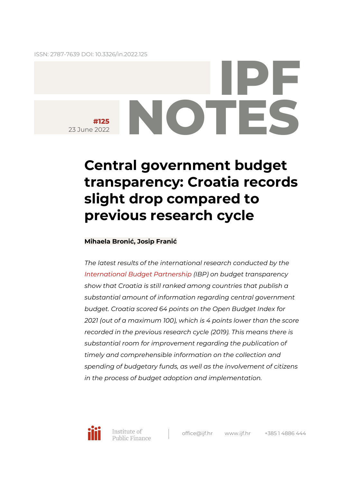ISSN: 2787-7639 DOI: [10.3326/in.2022.125](https://doi.org/10.3326/in.2022.125)

# **IPF #125**  23 June 2022

# **Central government budget transparency: Croatia records slight drop compared to previous research cycle**

### **Mihaela Bronić, Josip Franić**

*The latest results of the international research conducted by the [International Budget Partnership](https://internationalbudget.org/) (IBP) on budget transparency show that Croatia is still ranked among countries that publish a substantial amount of information regarding central government budget. Croatia scored 64 points on the Open Budget Index for 2021 (out of a maximum 100), which is 4 points lower than the score recorded in the previous research cycle (2019). This means there is substantial room for improvement regarding the publication of timely and comprehensible information on the collection and spending of budgetary funds, as well as the involvement of citizens in the process of budget adoption and implementation.*

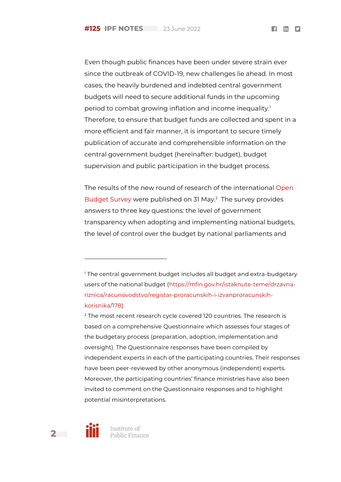$f$  in  $\boldsymbol{\nabla}$ 

Even though public finances have been under severe strain ever since the outbreak of COVID-19, new challenges lie ahead. In most cases, the heavily burdened and indebted central government budgets will need to secure additional funds in the upcoming period to combat growing inflation and income inequality.<sup>1</sup> Therefore, to ensure that budget funds are collected and spent in a more efficient and fair manner, it is important to secure timely publication of accurate and comprehensible information on the central government budget (hereinafter: budget), budget supervision and public participation in the budget process.

The results of the new round of research of the international [Open](https://www.internationalbudget.org/open-budget-survey)  [Budget Survey](https://www.internationalbudget.org/open-budget-survey) were published on 31 May.<sup>2</sup> The survey provides answers to three key questions: the level of government transparency when adopting and implementing national budgets, the level of control over the budget by national parliaments and

<sup>&</sup>lt;sup>2</sup> The most recent research cycle covered 120 countries. The research is based on a comprehensive [Questionnaire](https://www.internationalbudget.org/open-budget-survey) which assesses four stages of the budgetary process (preparation, adoption, implementation and oversight). The Questionnaire responses have been compiled by independent experts in each of the participating countries. Their responses have been peer-reviewed by other anonymous (independent) experts. Moreover, the participating countries' finance ministries have also been invited to comment on the Questionnaire responses and to highlight potential misinterpretations.



l

<sup>&</sup>lt;sup>1</sup> The central government budget includes all budget and extra-budgetary users of the national budget [\(https://mfin.gov.hr/istaknute-teme/drzavna](https://mfin.gov.hr/istaknute-teme/drzavna-riznica/racunovodstvo/registar-proracunskih-i-izvanproracunskih-korisnika/178)[riznica/racunovodstvo/registar-proracunskih-i-izvanproracunskih](https://mfin.gov.hr/istaknute-teme/drzavna-riznica/racunovodstvo/registar-proracunskih-i-izvanproracunskih-korisnika/178)[korisnika/178\)](https://mfin.gov.hr/istaknute-teme/drzavna-riznica/racunovodstvo/registar-proracunskih-i-izvanproracunskih-korisnika/178).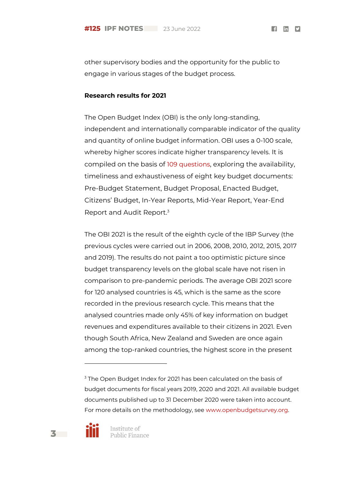$f$  in  $\mathbf{v}$ 

other supervisory bodies and the opportunity for the public to engage in various stages of the budget process.

#### **Research results for 2021**

The Open Budget Index (OBI) is the only long-standing, independent and internationally comparable indicator of the quality and quantity of online budget information. OBI uses a 0-100 scale, whereby higher scores indicate higher transparency levels. It is compiled on the basis of [109 questions](https://www.internationalbudget.org/open-budget-survey), exploring the availability, timeliness and exhaustiveness of eight key budget documents: Pre-Budget Statement, Budget Proposal, Enacted Budget, Citizens' Budget, In-Year Reports, Mid-Year Report, Year-End Report and Audit Report.<sup>3</sup>

The OBI 2021 is the result of the eighth cycle of the IBP Survey (the previous cycles were carried out in 2006, 2008, 2010, 2012, 2015, 2017 and 2019). The results do not paint a too optimistic picture since budget transparency levels on the global scale have not risen in comparison to pre-pandemic periods. The average OBI 2021 score for 120 analysed countries is 45, which is the same as the score recorded in the previous research cycle. This means that the analysed countries made only 45% of key information on budget revenues and expenditures available to their citizens in 2021. Even though South Africa, New Zealand and Sweden are once again among the top-ranked countries, the highest score in the present

<sup>&</sup>lt;sup>3</sup> The Open Budget Index for 2021 has been calculated on the basis of budget documents for fiscal years 2019, 2020 and 2021. All available budget documents published up to 31 December 2020 were taken into account. For more details on the methodology, see [www.openbudgetsurvey.org.](http://www.openbudgetsurvey.org/)



l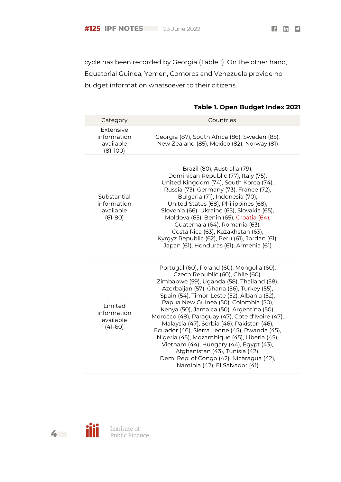$f$  in  $9$ 

cycle has been recorded by Georgia (Table 1). On the other hand, Equatorial Guinea, Yemen, Comoros and Venezuela provide no budget information whatsoever to their citizens.

#### **Table 1. Open Budget Index 2021**

| Category                                             | Countries                                                                                                                                                                                                                                                                                                                                                                                                                                                                                                                                                                                                                                                                     |
|------------------------------------------------------|-------------------------------------------------------------------------------------------------------------------------------------------------------------------------------------------------------------------------------------------------------------------------------------------------------------------------------------------------------------------------------------------------------------------------------------------------------------------------------------------------------------------------------------------------------------------------------------------------------------------------------------------------------------------------------|
| Extensive<br>information<br>available<br>$(81-100)$  | Georgia (87), South Africa (86), Sweden (85),<br>New Zealand (85), Mexico (82), Norway (81)                                                                                                                                                                                                                                                                                                                                                                                                                                                                                                                                                                                   |
| Substantial<br>information<br>available<br>$(61-80)$ | Brazil (80), Australia (79),<br>Dominican Republic (77), Italy (75),<br>United Kingdom (74), South Korea (74),<br>Russia (73), Germany (73), France (72),<br>Bulgaria (71), Indonesia (70),<br>United States (68), Philippines (68),<br>Slovenia (66), Ukraine (65), Slovakia (65),<br>Moldova (65), Benin (65), Croatia (64),<br>Guatemala (64), Romania (63),<br>Costa Rica (63), Kazakhstan (63),<br>Kyrgyz Republic (62), Peru (61), Jordan (61),<br>Japan (61), Honduras (61), Armenia (61)                                                                                                                                                                              |
| Limited<br>information<br>available<br>$(41-60)$     | Portugal (60), Poland (60), Mongolia (60),<br>Czech Republic (60), Chile (60),<br>Zimbabwe (59), Uganda (58), Thailand (58),<br>Azerbaijan (57), Ghana (56), Turkey (55),<br>Spain (54), Timor-Leste (52), Albania (52),<br>Papua New Guinea (50), Colombia (50),<br>Kenya (50), Jamaica (50), Argentina (50),<br>Morocco (48), Paraguay (47), Cote d'Ivoire (47),<br>Malaysia (47), Serbia (46), Pakistan (46),<br>Ecuador (46), Sierra Leone (45), Rwanda (45),<br>Nigeria (45), Mozambique (45), Liberia (45),<br>Vietnam (44), Hungary (44), Egypt (43),<br>Afghanistan (43), Tunisia (42),<br>Dem. Rep. of Congo (42), Nicaragua (42),<br>Namibia (42), El Salvador (41) |



M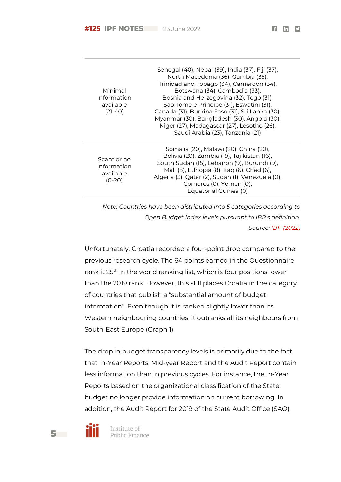$f$  in  $\boldsymbol{\nabla}$ 

| Minimal<br>information<br>available<br>$(21-40)$    | Senegal (40), Nepal (39), India (37), Fiji (37),<br>North Macedonia (36), Gambia (35),<br>Trinidad and Tobago (34), Cameroon (34),<br>Botswana (34), Cambodia (33),<br>Bosnia and Herzegovina (32), Togo (31),<br>Sao Tome e Principe (31), Eswatini (31),<br>Canada (31), Burkina Faso (31), Sri Lanka (30),<br>Myanmar (30), Bangladesh (30), Angola (30),<br>Niger (27), Madagascar (27), Lesotho (26),<br>Saudi Arabia (23), Tanzania (21) |
|-----------------------------------------------------|------------------------------------------------------------------------------------------------------------------------------------------------------------------------------------------------------------------------------------------------------------------------------------------------------------------------------------------------------------------------------------------------------------------------------------------------|
| Scant or no<br>information<br>available<br>$(0-20)$ | Somalia (20), Malawi (20), China (20),<br>Bolivia (20), Zambia (19), Tajikistan (16),<br>South Sudan (15), Lebanon (9), Burundi (9),<br>Mali (8), Ethiopia (8), Iraq (6), Chad (6),<br>Algeria (3), Qatar (2), Sudan (1), Venezuela (0),<br>Comoros (0), Yemen (0),<br>Equatorial Guinea (0)                                                                                                                                                   |

*Note: Countries have been distributed into 5 categories according to Open Budget Index levels pursuant to IBP's definition. Source: [IBP \(2022\)](https://www.internationalbudget.org/open-budget-survey/)*

Unfortunately, Croatia recorded a four-point drop compared to the previous research cycle. The 64 points earned in the Questionnaire rank it 25<sup>th</sup> in the world ranking list, which is four positions lower than the 2019 rank. However, this still places Croatia in the category of countries that publish a "substantial amount of budget information". Even though it is ranked slightly lower than its Western neighbouring countries, it outranks all its neighbours from South-East Europe (Graph 1).

The drop in budget transparency levels is primarily due to the fact that In-Year Reports, Mid-year Report and the Audit Report contain less information than in previous cycles. For instance, the In-Year Reports based on the organizational classification of the State budget no longer provide information on current borrowing. In addition, the Audit Report for 2019 of the State Audit Office (SAO)



Institute of Public Finance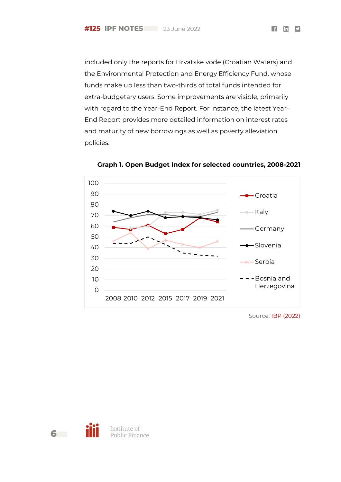included only the reports for Hrvatske vode (Croatian Waters) and the Environmental Protection and Energy Efficiency Fund, whose funds make up less than two-thirds of total funds intended for extra-budgetary users. Some improvements are visible, primarily with regard to the Year-End Report. For instance, the latest Year-End Report provides more detailed information on interest rates and maturity of new borrowings as well as poverty alleviation policies.



**Graph 1. Open Budget Index for selected countries, 2008-2021**

Source: [IBP \(2022\)](https://www.internationalbudget.org/open-budget-survey/)

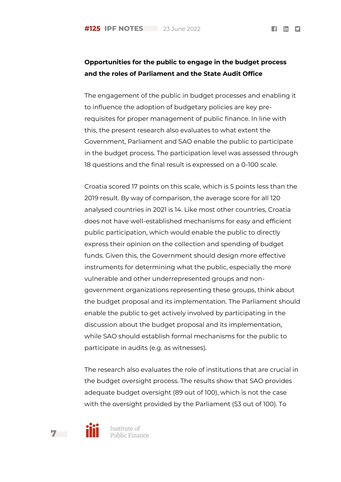$f$  in  $y$ 

## **Opportunities for the public to engage in the budget process and the roles of Parliament and the State Audit Office**

The engagement of the public in budget processes and enabling it to influence the adoption of budgetary policies are key prerequisites for proper management of public finance. In line with this, the present research also evaluates to what extent the Government, Parliament and SAO enable the public to participate in the budget process. The participation level was assessed through 18 questions and the final result is expressed on a 0-100 scale.

Croatia scored 17 points on this scale, which is 5 points less than the 2019 result. By way of comparison, the average score for all 120 analysed countries in 2021 is 14. Like most other countries, Croatia does not have well-established mechanisms for easy and efficient public participation, which would enable the public to directly express their opinion on the collection and spending of budget funds. Given this, the Government should design more effective instruments for determining what the public, especially the more vulnerable and other underrepresented groups and nongovernment organizations representing these groups, think about the budget proposal and its implementation. The Parliament should enable the public to get actively involved by participating in the discussion about the budget proposal and its implementation, while SAO should establish formal mechanisms for the public to participate in audits (e.g. as witnesses).

The research also evaluates the role of institutions that are crucial in the budget oversight process. The results show that SAO provides adequate budget oversight (89 out of 100), which is not the case with the oversight provided by the Parliament (53 out of 100). To



**7**

Institute of Public Finance